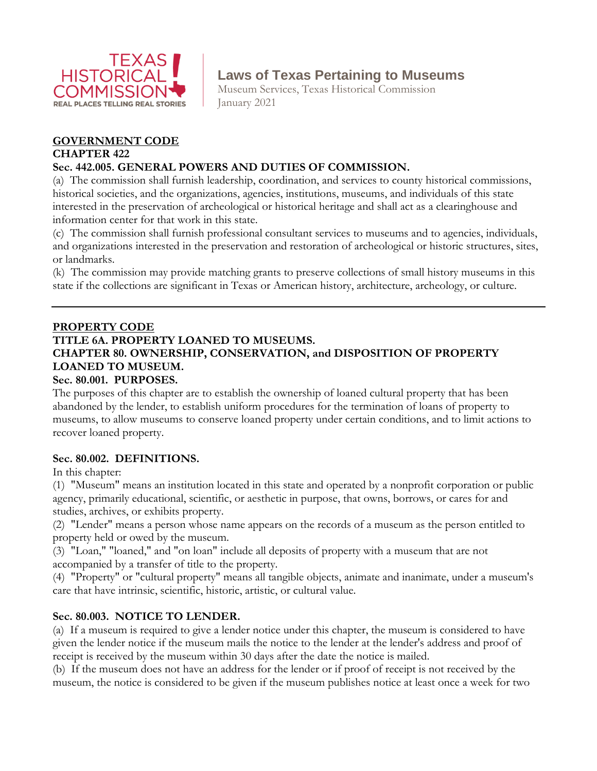

# **Laws of Texas Pertaining to Museums**

Museum Services, Texas Historical Commission January 2021

## **GOVERNMENT CODE**

#### **CHAPTER 422**

## **Sec. 442.005. GENERAL POWERS AND DUTIES OF COMMISSION.**

(a) The commission shall furnish leadership, coordination, and services to county historical commissions, historical societies, and the organizations, agencies, institutions, museums, and individuals of this state interested in the preservation of archeological or historical heritage and shall act as a clearinghouse and information center for that work in this state.

(c) The commission shall furnish professional consultant services to museums and to agencies, individuals, and organizations interested in the preservation and restoration of archeological or historic structures, sites, or landmarks.

(k) The commission may provide matching grants to preserve collections of small history museums in this state if the collections are significant in Texas or American history, architecture, archeology, or culture.

## **PROPERTY CODE**

#### **TITLE 6A. PROPERTY LOANED TO MUSEUMS. CHAPTER 80. OWNERSHIP, CONSERVATION, and DISPOSITION OF PROPERTY LOANED TO MUSEUM. Sec. 80.001. PURPOSES.**

The purposes of this chapter are to establish the ownership of loaned cultural property that has been abandoned by the lender, to establish uniform procedures for the termination of loans of property to museums, to allow museums to conserve loaned property under certain conditions, and to limit actions to recover loaned property.

## **Sec. 80.002. DEFINITIONS.**

In this chapter:

(1) "Museum" means an institution located in this state and operated by a nonprofit corporation or public agency, primarily educational, scientific, or aesthetic in purpose, that owns, borrows, or cares for and studies, archives, or exhibits property.

(2) "Lender" means a person whose name appears on the records of a museum as the person entitled to property held or owed by the museum.

(3) "Loan," "loaned," and "on loan" include all deposits of property with a museum that are not accompanied by a transfer of title to the property.

(4) "Property" or "cultural property" means all tangible objects, animate and inanimate, under a museum's care that have intrinsic, scientific, historic, artistic, or cultural value.

## **Sec. 80.003. NOTICE TO LENDER.**

(a) If a museum is required to give a lender notice under this chapter, the museum is considered to have given the lender notice if the museum mails the notice to the lender at the lender's address and proof of receipt is received by the museum within 30 days after the date the notice is mailed.

(b) If the museum does not have an address for the lender or if proof of receipt is not received by the museum, the notice is considered to be given if the museum publishes notice at least once a week for two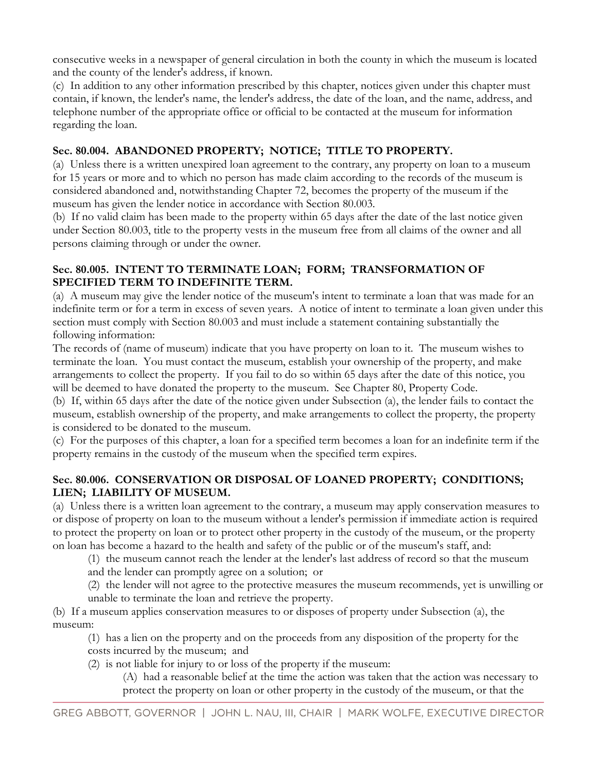consecutive weeks in a newspaper of general circulation in both the county in which the museum is located and the county of the lender's address, if known.

(c) In addition to any other information prescribed by this chapter, notices given under this chapter must contain, if known, the lender's name, the lender's address, the date of the loan, and the name, address, and telephone number of the appropriate office or official to be contacted at the museum for information regarding the loan.

## **Sec. 80.004. ABANDONED PROPERTY; NOTICE; TITLE TO PROPERTY.**

(a) Unless there is a written unexpired loan agreement to the contrary, any property on loan to a museum for 15 years or more and to which no person has made claim according to the records of the museum is considered abandoned and, notwithstanding Chapter [72,](http://www.statutes.legis.state.tx.us/GetStatute.aspx?Code=PR&Value=72) becomes the property of the museum if the museum has given the lender notice in accordance with Section [80.003.](http://www.statutes.legis.state.tx.us/GetStatute.aspx?Code=PR&Value=80.003)

(b) If no valid claim has been made to the property within 65 days after the date of the last notice given under Section [80.003,](http://www.statutes.legis.state.tx.us/GetStatute.aspx?Code=PR&Value=80.003) title to the property vests in the museum free from all claims of the owner and all persons claiming through or under the owner.

#### **Sec. 80.005. INTENT TO TERMINATE LOAN; FORM; TRANSFORMATION OF SPECIFIED TERM TO INDEFINITE TERM.**

(a) A museum may give the lender notice of the museum's intent to terminate a loan that was made for an indefinite term or for a term in excess of seven years. A notice of intent to terminate a loan given under this section must comply with Section [80.003](http://www.statutes.legis.state.tx.us/GetStatute.aspx?Code=PR&Value=80.003) and must include a statement containing substantially the following information:

The records of (name of museum) indicate that you have property on loan to it. The museum wishes to terminate the loan. You must contact the museum, establish your ownership of the property, and make arrangements to collect the property. If you fail to do so within 65 days after the date of this notice, you will be deemed to have donated the property to the museum. See Chapter 80, Property Code.

(b) If, within 65 days after the date of the notice given under Subsection (a), the lender fails to contact the museum, establish ownership of the property, and make arrangements to collect the property, the property is considered to be donated to the museum.

(c) For the purposes of this chapter, a loan for a specified term becomes a loan for an indefinite term if the property remains in the custody of the museum when the specified term expires.

## **Sec. 80.006. CONSERVATION OR DISPOSAL OF LOANED PROPERTY; CONDITIONS; LIEN; LIABILITY OF MUSEUM.**

(a) Unless there is a written loan agreement to the contrary, a museum may apply conservation measures to or dispose of property on loan to the museum without a lender's permission if immediate action is required to protect the property on loan or to protect other property in the custody of the museum, or the property on loan has become a hazard to the health and safety of the public or of the museum's staff, and:

(1) the museum cannot reach the lender at the lender's last address of record so that the museum

and the lender can promptly agree on a solution; or

(2) the lender will not agree to the protective measures the museum recommends, yet is unwilling or unable to terminate the loan and retrieve the property.

(b) If a museum applies conservation measures to or disposes of property under Subsection (a), the museum:

(1) has a lien on the property and on the proceeds from any disposition of the property for the costs incurred by the museum; and

(2) is not liable for injury to or loss of the property if the museum:

(A) had a reasonable belief at the time the action was taken that the action was necessary to protect the property on loan or other property in the custody of the museum, or that the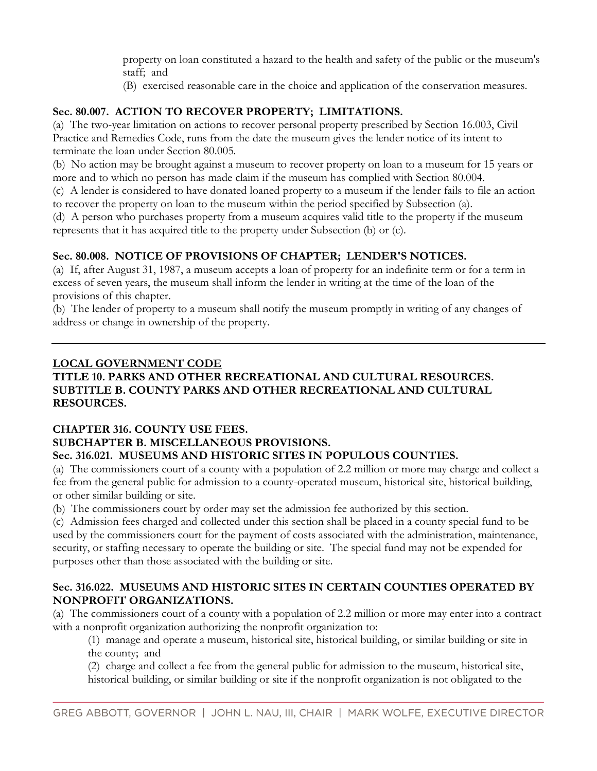property on loan constituted a hazard to the health and safety of the public or the museum's staff; and

(B) exercised reasonable care in the choice and application of the conservation measures.

## **Sec. 80.007. ACTION TO RECOVER PROPERTY; LIMITATIONS.**

(a) The two-year limitation on actions to recover personal property prescribed by Section [16.003,](http://www.statutes.legis.state.tx.us/GetStatute.aspx?Code=CP&Value=16.003) Civil Practice and Remedies Code, runs from the date the museum gives the lender notice of its intent to terminate the loan under Section [80.005.](http://www.statutes.legis.state.tx.us/GetStatute.aspx?Code=PR&Value=80.005)

(b) No action may be brought against a museum to recover property on loan to a museum for 15 years or more and to which no person has made claim if the museum has complied with Section [80.004.](http://www.statutes.legis.state.tx.us/GetStatute.aspx?Code=PR&Value=80.004)

(c) A lender is considered to have donated loaned property to a museum if the lender fails to file an action to recover the property on loan to the museum within the period specified by Subsection (a).

(d) A person who purchases property from a museum acquires valid title to the property if the museum represents that it has acquired title to the property under Subsection (b) or (c).

## **Sec. 80.008. NOTICE OF PROVISIONS OF CHAPTER; LENDER'S NOTICES.**

(a) If, after August 31, 1987, a museum accepts a loan of property for an indefinite term or for a term in excess of seven years, the museum shall inform the lender in writing at the time of the loan of the provisions of this chapter.

(b) The lender of property to a museum shall notify the museum promptly in writing of any changes of address or change in ownership of the property.

## **LOCAL GOVERNMENT CODE**

## **TITLE 10. PARKS AND OTHER RECREATIONAL AND CULTURAL RESOURCES. SUBTITLE B. COUNTY PARKS AND OTHER RECREATIONAL AND CULTURAL RESOURCES.**

## **CHAPTER 316. COUNTY USE FEES.**

# **SUBCHAPTER B. MISCELLANEOUS PROVISIONS.**

## **Sec. 316.021. MUSEUMS AND HISTORIC SITES IN POPULOUS COUNTIES.**

(a) The commissioners court of a county with a population of 2.2 million or more may charge and collect a fee from the general public for admission to a county-operated museum, historical site, historical building, or other similar building or site.

(b) The commissioners court by order may set the admission fee authorized by this section.

(c) Admission fees charged and collected under this section shall be placed in a county special fund to be used by the commissioners court for the payment of costs associated with the administration, maintenance, security, or staffing necessary to operate the building or site. The special fund may not be expended for purposes other than those associated with the building or site.

## **Sec. 316.022. MUSEUMS AND HISTORIC SITES IN CERTAIN COUNTIES OPERATED BY NONPROFIT ORGANIZATIONS.**

(a) The commissioners court of a county with a population of 2.2 million or more may enter into a contract with a nonprofit organization authorizing the nonprofit organization to:

(1) manage and operate a museum, historical site, historical building, or similar building or site in the county; and

(2) charge and collect a fee from the general public for admission to the museum, historical site, historical building, or similar building or site if the nonprofit organization is not obligated to the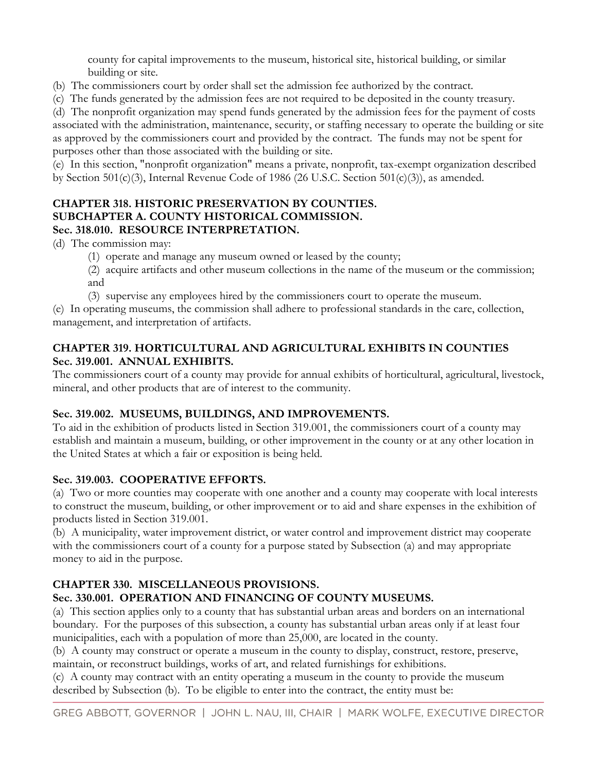county for capital improvements to the museum, historical site, historical building, or similar building or site.

- (b) The commissioners court by order shall set the admission fee authorized by the contract.
- (c) The funds generated by the admission fees are not required to be deposited in the county treasury.

(d) The nonprofit organization may spend funds generated by the admission fees for the payment of costs associated with the administration, maintenance, security, or staffing necessary to operate the building or site as approved by the commissioners court and provided by the contract. The funds may not be spent for purposes other than those associated with the building or site.

(e) In this section, "nonprofit organization" means a private, nonprofit, tax-exempt organization described by Section 501(c)(3), Internal Revenue Code of 1986 (26 U.S.C. Section 501(c)(3)), as amended.

## **CHAPTER 318. HISTORIC PRESERVATION BY COUNTIES. SUBCHAPTER A. COUNTY HISTORICAL COMMISSION. Sec. 318.010. RESOURCE INTERPRETATION.**

(d) The commission may:

- (1) operate and manage any museum owned or leased by the county;
- (2) acquire artifacts and other museum collections in the name of the museum or the commission; and
- (3) supervise any employees hired by the commissioners court to operate the museum.

(e) In operating museums, the commission shall adhere to professional standards in the care, collection, management, and interpretation of artifacts.

## **CHAPTER 319. HORTICULTURAL AND AGRICULTURAL EXHIBITS IN COUNTIES Sec. 319.001. ANNUAL EXHIBITS.**

The commissioners court of a county may provide for annual exhibits of horticultural, agricultural, livestock, mineral, and other products that are of interest to the community.

## **Sec. 319.002. MUSEUMS, BUILDINGS, AND IMPROVEMENTS.**

To aid in the exhibition of products listed in Section [319.001,](http://www.statutes.legis.state.tx.us/GetStatute.aspx?Code=LG&Value=319.001) the commissioners court of a county may establish and maintain a museum, building, or other improvement in the county or at any other location in the United States at which a fair or exposition is being held.

## **Sec. 319.003. COOPERATIVE EFFORTS.**

(a) Two or more counties may cooperate with one another and a county may cooperate with local interests to construct the museum, building, or other improvement or to aid and share expenses in the exhibition of products listed in Section [319.001.](http://www.statutes.legis.state.tx.us/GetStatute.aspx?Code=LG&Value=319.001)

(b) A municipality, water improvement district, or water control and improvement district may cooperate with the commissioners court of a county for a purpose stated by Subsection (a) and may appropriate money to aid in the purpose.

## **CHAPTER 330. MISCELLANEOUS PROVISIONS.**

## **Sec. 330.001. OPERATION AND FINANCING OF COUNTY MUSEUMS.**

(a) This section applies only to a county that has substantial urban areas and borders on an international boundary. For the purposes of this subsection, a county has substantial urban areas only if at least four municipalities, each with a population of more than 25,000, are located in the county.

(b) A county may construct or operate a museum in the county to display, construct, restore, preserve, maintain, or reconstruct buildings, works of art, and related furnishings for exhibitions.

(c) A county may contract with an entity operating a museum in the county to provide the museum described by Subsection (b). To be eligible to enter into the contract, the entity must be: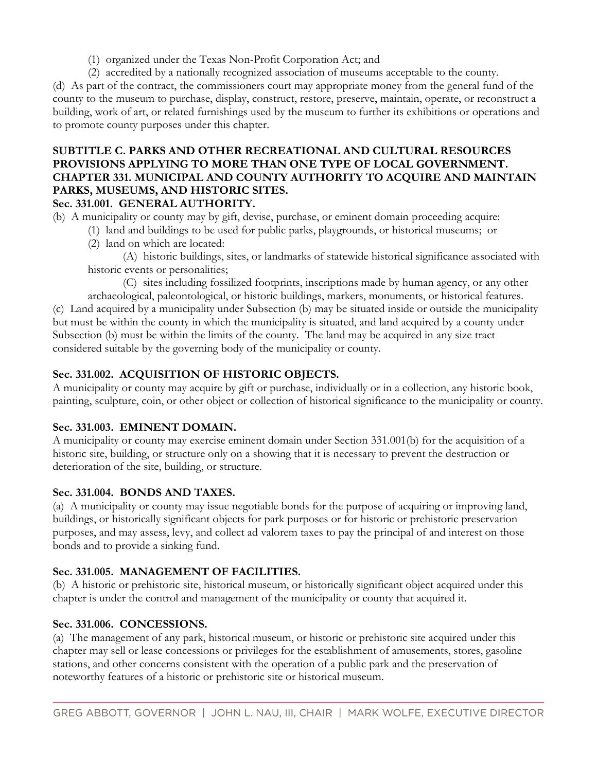- (1) organized under the Texas Non-Profit Corporation Act; and
- (2) accredited by a nationally recognized association of museums acceptable to the county.

(d) As part of the contract, the commissioners court may appropriate money from the general fund of the county to the museum to purchase, display, construct, restore, preserve, maintain, operate, or reconstruct a building, work of art, or related furnishings used by the museum to further its exhibitions or operations and to promote county purposes under this chapter.

## **SUBTITLE C. PARKS AND OTHER RECREATIONAL AND CULTURAL RESOURCES PROVISIONS APPLYING TO MORE THAN ONE TYPE OF LOCAL GOVERNMENT. CHAPTER 331. MUNICIPAL AND COUNTY AUTHORITY TO ACQUIRE AND MAINTAIN PARKS, MUSEUMS, AND HISTORIC SITES.**

## **Sec. 331.001. GENERAL AUTHORITY.**

- (b) A municipality or county may by gift, devise, purchase, or eminent domain proceeding acquire:
	- (1) land and buildings to be used for public parks, playgrounds, or historical museums; or
	- (2) land on which are located:

(A) historic buildings, sites, or landmarks of statewide historical significance associated with historic events or personalities;

(C) sites including fossilized footprints, inscriptions made by human agency, or any other archaeological, paleontological, or historic buildings, markers, monuments, or historical features. (c) Land acquired by a municipality under Subsection (b) may be situated inside or outside the municipality but must be within the county in which the municipality is situated, and land acquired by a county under Subsection (b) must be within the limits of the county. The land may be acquired in any size tract considered suitable by the governing body of the municipality or county.

## **Sec. 331.002. ACQUISITION OF HISTORIC OBJECTS.**

A municipality or county may acquire by gift or purchase, individually or in a collection, any historic book, painting, sculpture, coin, or other object or collection of historical significance to the municipality or county.

## **Sec. 331.003. EMINENT DOMAIN.**

A municipality or county may exercise eminent domain under Section [331.001\(](http://www.statutes.legis.state.tx.us/GetStatute.aspx?Code=LG&Value=331.001)b) for the acquisition of a historic site, building, or structure only on a showing that it is necessary to prevent the destruction or deterioration of the site, building, or structure.

## **Sec. 331.004. BONDS AND TAXES.**

(a) A municipality or county may issue negotiable bonds for the purpose of acquiring or improving land, buildings, or historically significant objects for park purposes or for historic or prehistoric preservation purposes, and may assess, levy, and collect ad valorem taxes to pay the principal of and interest on those bonds and to provide a sinking fund.

## **Sec. 331.005. MANAGEMENT OF FACILITIES.**

(b) A historic or prehistoric site, historical museum, or historically significant object acquired under this chapter is under the control and management of the municipality or county that acquired it.

## **Sec. 331.006. CONCESSIONS.**

(a) The management of any park, historical museum, or historic or prehistoric site acquired under this chapter may sell or lease concessions or privileges for the establishment of amusements, stores, gasoline stations, and other concerns consistent with the operation of a public park and the preservation of noteworthy features of a historic or prehistoric site or historical museum.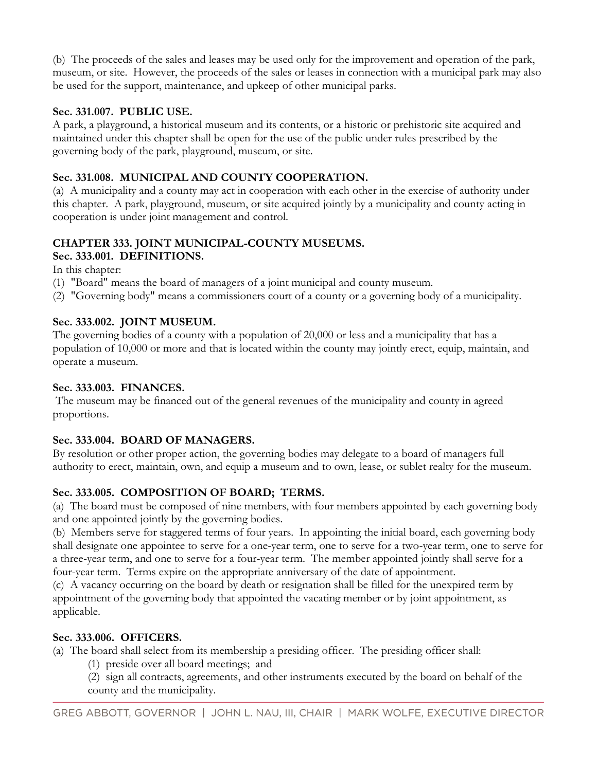(b) The proceeds of the sales and leases may be used only for the improvement and operation of the park, museum, or site. However, the proceeds of the sales or leases in connection with a municipal park may also be used for the support, maintenance, and upkeep of other municipal parks.

## **Sec. 331.007. PUBLIC USE.**

A park, a playground, a historical museum and its contents, or a historic or prehistoric site acquired and maintained under this chapter shall be open for the use of the public under rules prescribed by the governing body of the park, playground, museum, or site.

## **Sec. 331.008. MUNICIPAL AND COUNTY COOPERATION.**

(a) A municipality and a county may act in cooperation with each other in the exercise of authority under this chapter. A park, playground, museum, or site acquired jointly by a municipality and county acting in cooperation is under joint management and control.

## **CHAPTER 333. JOINT MUNICIPAL-COUNTY MUSEUMS.**

## **Sec. 333.001. DEFINITIONS.**

In this chapter:

- (1) "Board" means the board of managers of a joint municipal and county museum.
- (2) "Governing body" means a commissioners court of a county or a governing body of a municipality.

## **Sec. 333.002. JOINT MUSEUM.**

The governing bodies of a county with a population of 20,000 or less and a municipality that has a population of 10,000 or more and that is located within the county may jointly erect, equip, maintain, and operate a museum.

## **Sec. 333.003. FINANCES.**

The museum may be financed out of the general revenues of the municipality and county in agreed proportions.

## **Sec. 333.004. BOARD OF MANAGERS.**

By resolution or other proper action, the governing bodies may delegate to a board of managers full authority to erect, maintain, own, and equip a museum and to own, lease, or sublet realty for the museum.

## **Sec. 333.005. COMPOSITION OF BOARD; TERMS.**

(a) The board must be composed of nine members, with four members appointed by each governing body and one appointed jointly by the governing bodies.

(b) Members serve for staggered terms of four years. In appointing the initial board, each governing body shall designate one appointee to serve for a one-year term, one to serve for a two-year term, one to serve for a three-year term, and one to serve for a four-year term. The member appointed jointly shall serve for a four-year term. Terms expire on the appropriate anniversary of the date of appointment.

(c) A vacancy occurring on the board by death or resignation shall be filled for the unexpired term by appointment of the governing body that appointed the vacating member or by joint appointment, as applicable.

## **Sec. 333.006. OFFICERS.**

- (a) The board shall select from its membership a presiding officer. The presiding officer shall:
	- (1) preside over all board meetings; and
	- (2) sign all contracts, agreements, and other instruments executed by the board on behalf of the county and the municipality.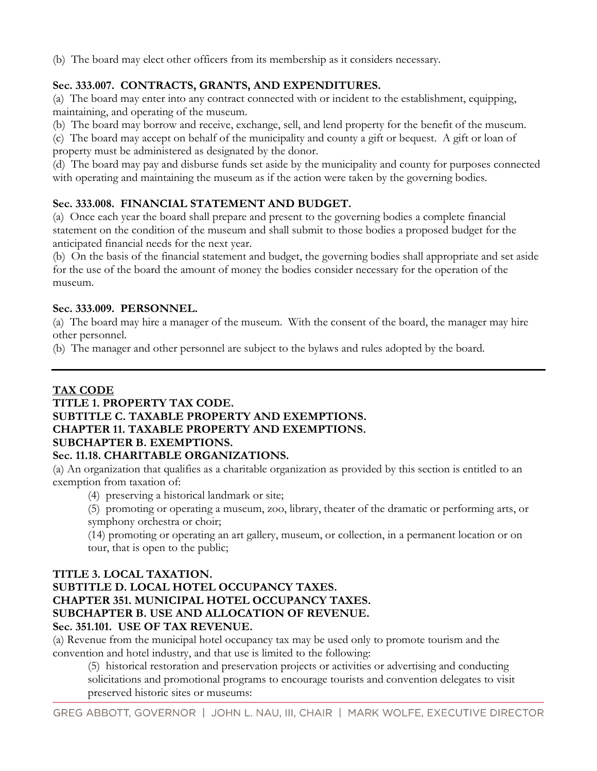(b) The board may elect other officers from its membership as it considers necessary.

## **Sec. 333.007. CONTRACTS, GRANTS, AND EXPENDITURES.**

(a) The board may enter into any contract connected with or incident to the establishment, equipping, maintaining, and operating of the museum.

(b) The board may borrow and receive, exchange, sell, and lend property for the benefit of the museum.

(c) The board may accept on behalf of the municipality and county a gift or bequest. A gift or loan of property must be administered as designated by the donor.

(d) The board may pay and disburse funds set aside by the municipality and county for purposes connected with operating and maintaining the museum as if the action were taken by the governing bodies.

## **Sec. 333.008. FINANCIAL STATEMENT AND BUDGET.**

(a) Once each year the board shall prepare and present to the governing bodies a complete financial statement on the condition of the museum and shall submit to those bodies a proposed budget for the anticipated financial needs for the next year.

(b) On the basis of the financial statement and budget, the governing bodies shall appropriate and set aside for the use of the board the amount of money the bodies consider necessary for the operation of the museum.

#### **Sec. 333.009. PERSONNEL.**

(a) The board may hire a manager of the museum. With the consent of the board, the manager may hire other personnel.

(b) The manager and other personnel are subject to the bylaws and rules adopted by the board.

## **TAX CODE**

## **TITLE 1. PROPERTY TAX CODE. SUBTITLE C. TAXABLE PROPERTY AND EXEMPTIONS. CHAPTER 11. TAXABLE PROPERTY AND EXEMPTIONS. SUBCHAPTER B. EXEMPTIONS.**

## **Sec. 11.18. CHARITABLE ORGANIZATIONS.**

(a) An organization that qualifies as a charitable organization as provided by this section is entitled to an exemption from taxation of:

(4) preserving a historical landmark or site;

(5) promoting or operating a museum, zoo, library, theater of the dramatic or performing arts, or symphony orchestra or choir;

(14) promoting or operating an art gallery, museum, or collection, in a permanent location or on tour, that is open to the public;

## **TITLE 3. LOCAL TAXATION.**

#### **SUBTITLE D. LOCAL HOTEL OCCUPANCY TAXES. CHAPTER 351. MUNICIPAL HOTEL OCCUPANCY TAXES. SUBCHAPTER B. USE AND ALLOCATION OF REVENUE. Sec. 351.101. USE OF TAX REVENUE.**

(a) Revenue from the municipal hotel occupancy tax may be used only to promote tourism and the convention and hotel industry, and that use is limited to the following:

(5) historical restoration and preservation projects or activities or advertising and conducting solicitations and promotional programs to encourage tourists and convention delegates to visit preserved historic sites or museums: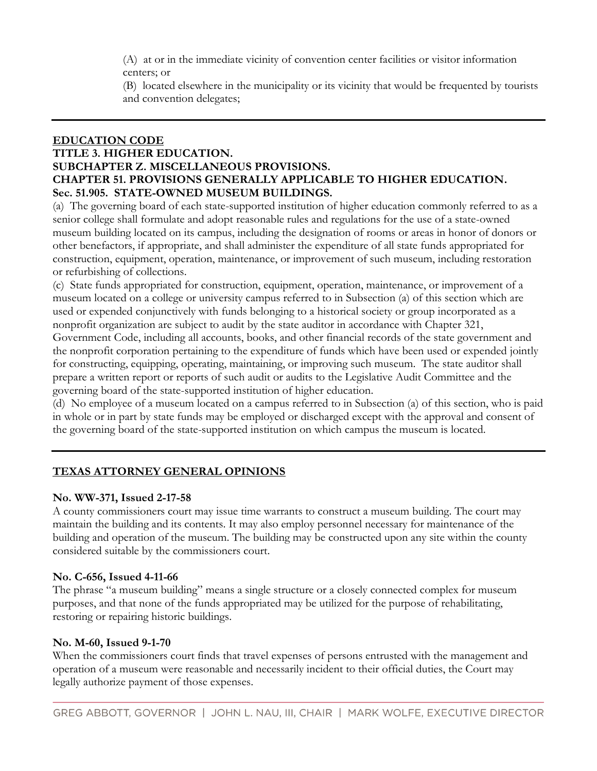(A) at or in the immediate vicinity of convention center facilities or visitor information centers; or

(B) located elsewhere in the municipality or its vicinity that would be frequented by tourists and convention delegates;

#### **EDUCATION CODE TITLE 3. HIGHER EDUCATION. SUBCHAPTER Z. MISCELLANEOUS PROVISIONS. CHAPTER 51. PROVISIONS GENERALLY APPLICABLE TO HIGHER EDUCATION. Sec. 51.905. STATE-OWNED MUSEUM BUILDINGS.**

(a) The governing board of each state-supported institution of higher education commonly referred to as a senior college shall formulate and adopt reasonable rules and regulations for the use of a state-owned museum building located on its campus, including the designation of rooms or areas in honor of donors or other benefactors, if appropriate, and shall administer the expenditure of all state funds appropriated for construction, equipment, operation, maintenance, or improvement of such museum, including restoration or refurbishing of collections.

(c) State funds appropriated for construction, equipment, operation, maintenance, or improvement of a museum located on a college or university campus referred to in Subsection (a) of this section which are used or expended conjunctively with funds belonging to a historical society or group incorporated as a nonprofit organization are subject to audit by the state auditor in accordance with Chapter 321,

Government Code, including all accounts, books, and other financial records of the state government and the nonprofit corporation pertaining to the expenditure of funds which have been used or expended jointly for constructing, equipping, operating, maintaining, or improving such museum. The state auditor shall prepare a written report or reports of such audit or audits to the Legislative Audit Committee and the governing board of the state-supported institution of higher education.

(d) No employee of a museum located on a campus referred to in Subsection (a) of this section, who is paid in whole or in part by state funds may be employed or discharged except with the approval and consent of the governing board of the state-supported institution on which campus the museum is located.

## **TEXAS ATTORNEY GENERAL OPINIONS**

## **No. WW-371, Issued 2-17-58**

A county commissioners court may issue time warrants to construct a museum building. The court may maintain the building and its contents. It may also employ personnel necessary for maintenance of the building and operation of the museum. The building may be constructed upon any site within the county considered suitable by the commissioners court.

## **No. C-656, Issued 4-11-66**

The phrase "a museum building" means a single structure or a closely connected complex for museum purposes, and that none of the funds appropriated may be utilized for the purpose of rehabilitating, restoring or repairing historic buildings.

## **No. M-60, Issued 9-1-70**

When the commissioners court finds that travel expenses of persons entrusted with the management and operation of a museum were reasonable and necessarily incident to their official duties, the Court may legally authorize payment of those expenses.